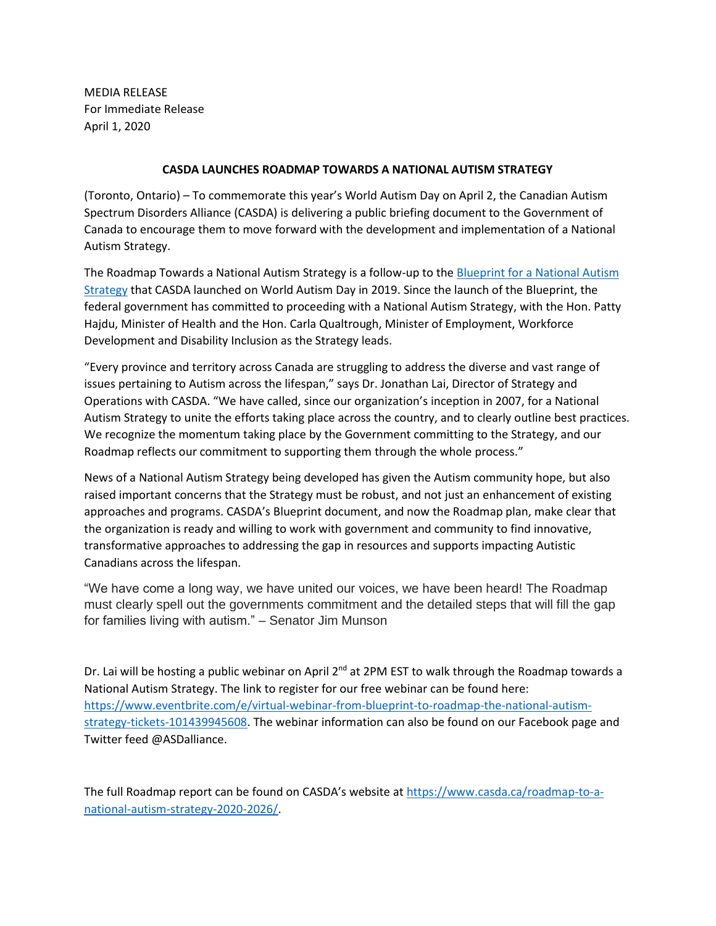MEDIA RELEASE For Immediate Release April 1, 2020

## **CASDA LAUNCHES ROADMAP TOWARDS A NATIONAL AUTISM STRATEGY**

(Toronto, Ontario) – To commemorate this year's World Autism Day on April 2, the Canadian Autism Spectrum Disorders Alliance (CASDA) is delivering a public briefing document to the Government of Canada to encourage them to move forward with the development and implementation of a National Autism Strategy.

The Roadmap Towards a National Autism Strategy is a follow-up to th[e Blueprint for a National Autism](https://www.casda.ca/wp-content/uploads/2019/03/Blueprint-for-a-National-ASD-Strategy-1.pdf)  [Strategy](https://www.casda.ca/wp-content/uploads/2019/03/Blueprint-for-a-National-ASD-Strategy-1.pdf) that CASDA launched on World Autism Day in 2019. Since the launch of the Blueprint, the federal government has committed to proceeding with a National Autism Strategy, with the Hon. Patty Hajdu, Minister of Health and the Hon. Carla Qualtrough, Minister of Employment, Workforce Development and Disability Inclusion as the Strategy leads.

"Every province and territory across Canada are struggling to address the diverse and vast range of issues pertaining to Autism across the lifespan," says Dr. Jonathan Lai, Director of Strategy and Operations with CASDA. "We have called, since our organization's inception in 2007, for a National Autism Strategy to unite the efforts taking place across the country, and to clearly outline best practices. We recognize the momentum taking place by the Government committing to the Strategy, and our Roadmap reflects our commitment to supporting them through the whole process."

News of a National Autism Strategy being developed has given the Autism community hope, but also raised important concerns that the Strategy must be robust, and not just an enhancement of existing approaches and programs. CASDA's Blueprint document, and now the Roadmap plan, make clear that the organization is ready and willing to work with government and community to find innovative, transformative approaches to addressing the gap in resources and supports impacting Autistic Canadians across the lifespan.

"We have come a long way, we have united our voices, we have been heard! The Roadmap must clearly spell out the governments commitment and the detailed steps that will fill the gap for families living with autism." – Senator Jim Munson

Dr. Lai will be hosting a public webinar on April 2<sup>nd</sup> at 2PM EST to walk through the Roadmap towards a National Autism Strategy. The link to register for our free webinar can be found here: [https://www.eventbrite.com/e/virtual-webinar-from-blueprint-to-roadmap-the-national-autism](https://www.eventbrite.com/e/virtual-webinar-from-blueprint-to-roadmap-the-national-autism-strategy-tickets-101439945608)[strategy-tickets-101439945608.](https://www.eventbrite.com/e/virtual-webinar-from-blueprint-to-roadmap-the-national-autism-strategy-tickets-101439945608) The webinar information can also be found on our Facebook page and Twitter feed @ASDalliance.

The full Roadmap report can be found on CASDA's website at [https://www.casda.ca/roadmap-to-a](https://www.casda.ca/roadmap-to-a-national-autism-strategy-2020-2026/)[national-autism-strategy-2020-2026/.](https://www.casda.ca/roadmap-to-a-national-autism-strategy-2020-2026/)